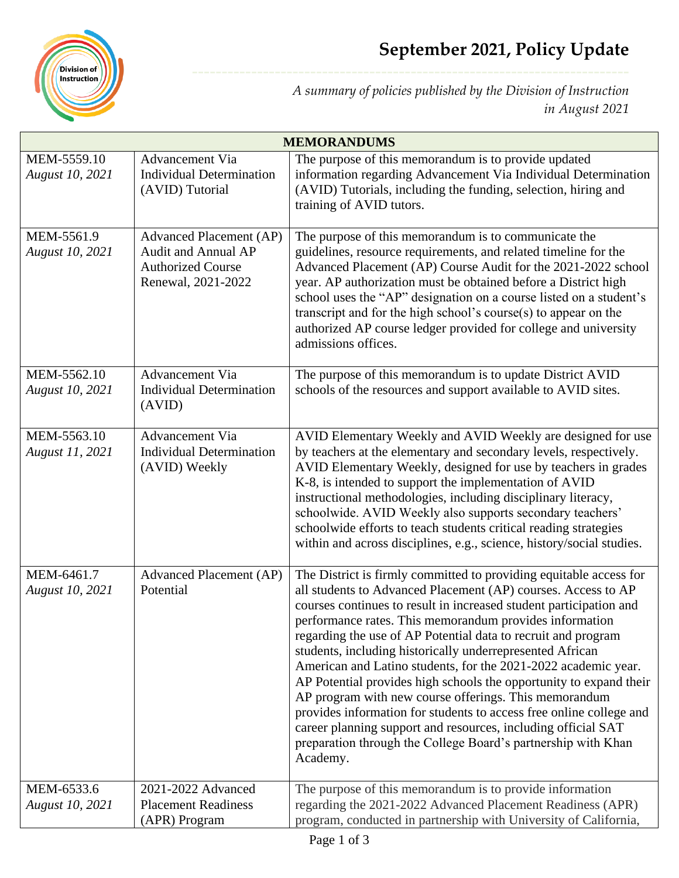

*A summary of policies published by the Division of Instruction in August 2021*

| <b>MEMORANDUMS</b>                    |                                                                                                  |                                                                                                                                                                                                                                                                                                                                                                                                                                                                                                                                                                                                                                                                                                                                                                                                                          |
|---------------------------------------|--------------------------------------------------------------------------------------------------|--------------------------------------------------------------------------------------------------------------------------------------------------------------------------------------------------------------------------------------------------------------------------------------------------------------------------------------------------------------------------------------------------------------------------------------------------------------------------------------------------------------------------------------------------------------------------------------------------------------------------------------------------------------------------------------------------------------------------------------------------------------------------------------------------------------------------|
| MEM-5559.10<br><b>August 10, 2021</b> | Advancement Via<br><b>Individual Determination</b><br>(AVID) Tutorial                            | The purpose of this memorandum is to provide updated<br>information regarding Advancement Via Individual Determination<br>(AVID) Tutorials, including the funding, selection, hiring and<br>training of AVID tutors.                                                                                                                                                                                                                                                                                                                                                                                                                                                                                                                                                                                                     |
| MEM-5561.9<br>August 10, 2021         | Advanced Placement (AP)<br>Audit and Annual AP<br><b>Authorized Course</b><br>Renewal, 2021-2022 | The purpose of this memorandum is to communicate the<br>guidelines, resource requirements, and related timeline for the<br>Advanced Placement (AP) Course Audit for the 2021-2022 school<br>year. AP authorization must be obtained before a District high<br>school uses the "AP" designation on a course listed on a student's<br>transcript and for the high school's course(s) to appear on the<br>authorized AP course ledger provided for college and university<br>admissions offices.                                                                                                                                                                                                                                                                                                                            |
| MEM-5562.10<br><b>August 10, 2021</b> | Advancement Via<br><b>Individual Determination</b><br>(AVID)                                     | The purpose of this memorandum is to update District AVID<br>schools of the resources and support available to AVID sites.                                                                                                                                                                                                                                                                                                                                                                                                                                                                                                                                                                                                                                                                                               |
| MEM-5563.10<br>August 11, 2021        | Advancement Via<br><b>Individual Determination</b><br>(AVID) Weekly                              | AVID Elementary Weekly and AVID Weekly are designed for use<br>by teachers at the elementary and secondary levels, respectively.<br>AVID Elementary Weekly, designed for use by teachers in grades<br>K-8, is intended to support the implementation of AVID<br>instructional methodologies, including disciplinary literacy,<br>schoolwide. AVID Weekly also supports secondary teachers'<br>schoolwide efforts to teach students critical reading strategies<br>within and across disciplines, e.g., science, history/social studies.                                                                                                                                                                                                                                                                                  |
| MEM-6461.7<br><b>August 10, 2021</b>  | <b>Advanced Placement (AP)</b><br>Potential                                                      | The District is firmly committed to providing equitable access for<br>all students to Advanced Placement (AP) courses. Access to AP<br>courses continues to result in increased student participation and<br>performance rates. This memorandum provides information<br>regarding the use of AP Potential data to recruit and program<br>students, including historically underrepresented African<br>American and Latino students, for the 2021-2022 academic year.<br>AP Potential provides high schools the opportunity to expand their<br>AP program with new course offerings. This memorandum<br>provides information for students to access free online college and<br>career planning support and resources, including official SAT<br>preparation through the College Board's partnership with Khan<br>Academy. |
| MEM-6533.6<br><b>August 10, 2021</b>  | 2021-2022 Advanced<br><b>Placement Readiness</b><br>(APR) Program                                | The purpose of this memorandum is to provide information<br>regarding the 2021-2022 Advanced Placement Readiness (APR)<br>program, conducted in partnership with University of California,                                                                                                                                                                                                                                                                                                                                                                                                                                                                                                                                                                                                                               |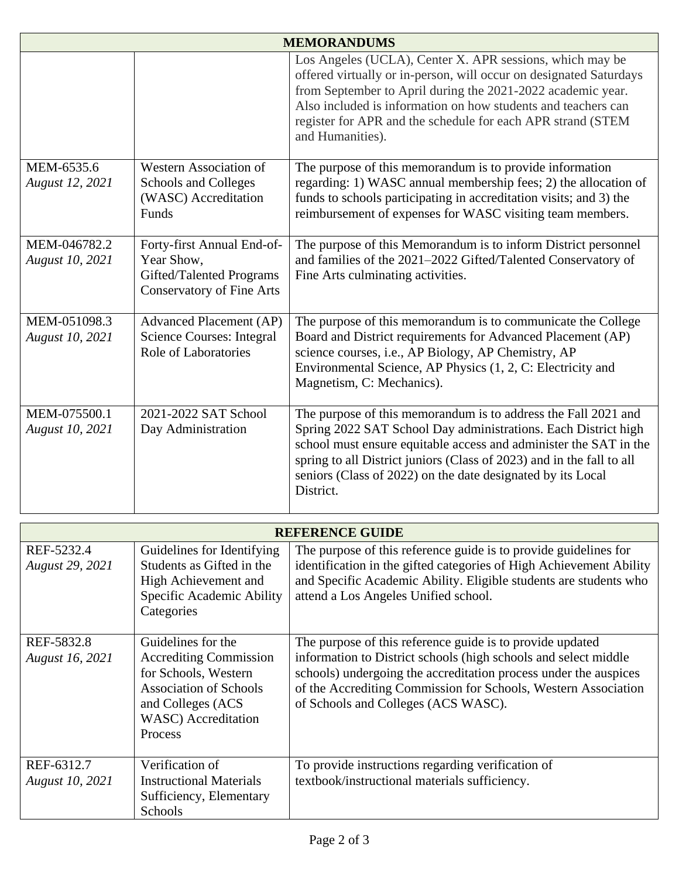| <b>MEMORANDUMS</b>              |                                                                                                          |                                                                                                                                                                                                                                                                                                                                                            |  |  |
|---------------------------------|----------------------------------------------------------------------------------------------------------|------------------------------------------------------------------------------------------------------------------------------------------------------------------------------------------------------------------------------------------------------------------------------------------------------------------------------------------------------------|--|--|
|                                 |                                                                                                          | Los Angeles (UCLA), Center X. APR sessions, which may be<br>offered virtually or in-person, will occur on designated Saturdays<br>from September to April during the 2021-2022 academic year.<br>Also included is information on how students and teachers can<br>register for APR and the schedule for each APR strand (STEM<br>and Humanities).          |  |  |
| MEM-6535.6<br>August 12, 2021   | Western Association of<br>Schools and Colleges<br>(WASC) Accreditation<br>Funds                          | The purpose of this memorandum is to provide information<br>regarding: 1) WASC annual membership fees; 2) the allocation of<br>funds to schools participating in accreditation visits; and 3) the<br>reimbursement of expenses for WASC visiting team members.                                                                                             |  |  |
| MEM-046782.2<br>August 10, 2021 | Forty-first Annual End-of-<br>Year Show,<br>Gifted/Talented Programs<br><b>Conservatory of Fine Arts</b> | The purpose of this Memorandum is to inform District personnel<br>and families of the 2021–2022 Gifted/Talented Conservatory of<br>Fine Arts culminating activities.                                                                                                                                                                                       |  |  |
| MEM-051098.3<br>August 10, 2021 | <b>Advanced Placement (AP)</b><br><b>Science Courses: Integral</b><br><b>Role of Laboratories</b>        | The purpose of this memorandum is to communicate the College<br>Board and District requirements for Advanced Placement (AP)<br>science courses, i.e., AP Biology, AP Chemistry, AP<br>Environmental Science, AP Physics (1, 2, C: Electricity and<br>Magnetism, C: Mechanics).                                                                             |  |  |
| MEM-075500.1<br>August 10, 2021 | 2021-2022 SAT School<br>Day Administration                                                               | The purpose of this memorandum is to address the Fall 2021 and<br>Spring 2022 SAT School Day administrations. Each District high<br>school must ensure equitable access and administer the SAT in the<br>spring to all District juniors (Class of 2023) and in the fall to all<br>seniors (Class of 2022) on the date designated by its Local<br>District. |  |  |

| <b>REFERENCE GUIDE</b>               |                                                                                                                                                                             |                                                                                                                                                                                                                                                                                                           |  |  |
|--------------------------------------|-----------------------------------------------------------------------------------------------------------------------------------------------------------------------------|-----------------------------------------------------------------------------------------------------------------------------------------------------------------------------------------------------------------------------------------------------------------------------------------------------------|--|--|
| REF-5232.4<br>August 29, 2021        | Guidelines for Identifying<br>Students as Gifted in the<br>High Achievement and<br>Specific Academic Ability<br>Categories                                                  | The purpose of this reference guide is to provide guidelines for<br>identification in the gifted categories of High Achievement Ability<br>and Specific Academic Ability. Eligible students are students who<br>attend a Los Angeles Unified school.                                                      |  |  |
| REF-5832.8<br>August 16, 2021        | Guidelines for the<br><b>Accrediting Commission</b><br>for Schools, Western<br><b>Association of Schools</b><br>and Colleges (ACS<br><b>WASC</b> ) Accreditation<br>Process | The purpose of this reference guide is to provide updated<br>information to District schools (high schools and select middle<br>schools) undergoing the accreditation process under the auspices<br>of the Accrediting Commission for Schools, Western Association<br>of Schools and Colleges (ACS WASC). |  |  |
| REF-6312.7<br><b>August 10, 2021</b> | Verification of<br><b>Instructional Materials</b><br>Sufficiency, Elementary<br>Schools                                                                                     | To provide instructions regarding verification of<br>textbook/instructional materials sufficiency.                                                                                                                                                                                                        |  |  |